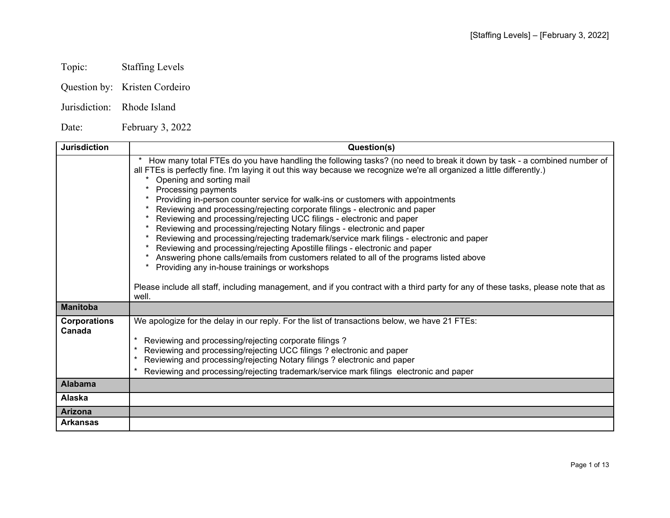- Topic: Staffing Levels
- Question by: Kristen Cordeiro
- Jurisdiction: Rhode Island

Date: February 3, 2022

| <b>Jurisdiction</b>           | Question(s)                                                                                                                                                                                                                                                                                                                                                                                                                                                                                                                                                                                                                                                                                                                                                                                                                                                                                                                                                                                                                                                                                      |
|-------------------------------|--------------------------------------------------------------------------------------------------------------------------------------------------------------------------------------------------------------------------------------------------------------------------------------------------------------------------------------------------------------------------------------------------------------------------------------------------------------------------------------------------------------------------------------------------------------------------------------------------------------------------------------------------------------------------------------------------------------------------------------------------------------------------------------------------------------------------------------------------------------------------------------------------------------------------------------------------------------------------------------------------------------------------------------------------------------------------------------------------|
|                               | How many total FTEs do you have handling the following tasks? (no need to break it down by task - a combined number of<br>all FTEs is perfectly fine. I'm laying it out this way because we recognize we're all organized a little differently.)<br>Opening and sorting mail<br>Processing payments<br>Providing in-person counter service for walk-ins or customers with appointments<br>Reviewing and processing/rejecting corporate filings - electronic and paper<br>Reviewing and processing/rejecting UCC filings - electronic and paper<br>Reviewing and processing/rejecting Notary filings - electronic and paper<br>Reviewing and processing/rejecting trademark/service mark filings - electronic and paper<br>Reviewing and processing/rejecting Apostille filings - electronic and paper<br>Answering phone calls/emails from customers related to all of the programs listed above<br>Providing any in-house trainings or workshops<br>Please include all staff, including management, and if you contract with a third party for any of these tasks, please note that as<br>well. |
| <b>Manitoba</b>               |                                                                                                                                                                                                                                                                                                                                                                                                                                                                                                                                                                                                                                                                                                                                                                                                                                                                                                                                                                                                                                                                                                  |
| <b>Corporations</b><br>Canada | We apologize for the delay in our reply. For the list of transactions below, we have 21 FTEs:<br>Reviewing and processing/rejecting corporate filings?<br>$^\star$<br>Reviewing and processing/rejecting UCC filings ? electronic and paper<br>Reviewing and processing/rejecting Notary filings ? electronic and paper<br>Reviewing and processing/rejecting trademark/service mark filings electronic and paper                                                                                                                                                                                                                                                                                                                                                                                                                                                                                                                                                                                                                                                                                |
| <b>Alabama</b>                |                                                                                                                                                                                                                                                                                                                                                                                                                                                                                                                                                                                                                                                                                                                                                                                                                                                                                                                                                                                                                                                                                                  |
| Alaska                        |                                                                                                                                                                                                                                                                                                                                                                                                                                                                                                                                                                                                                                                                                                                                                                                                                                                                                                                                                                                                                                                                                                  |
| <b>Arizona</b>                |                                                                                                                                                                                                                                                                                                                                                                                                                                                                                                                                                                                                                                                                                                                                                                                                                                                                                                                                                                                                                                                                                                  |
| <b>Arkansas</b>               |                                                                                                                                                                                                                                                                                                                                                                                                                                                                                                                                                                                                                                                                                                                                                                                                                                                                                                                                                                                                                                                                                                  |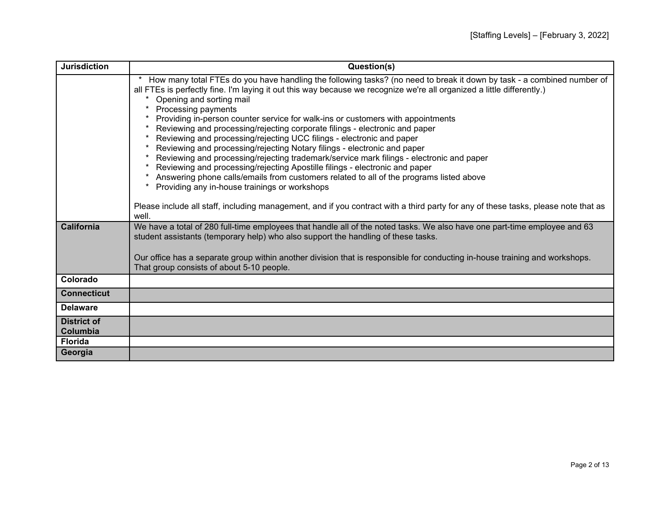| <b>Jurisdiction</b>            | Question(s)                                                                                                                                                                                                                                                                                                                                                                                                                                                                                                                                                                                                                                                                                                                                                                                                                                                                                                                                                                                                                                                                                      |
|--------------------------------|--------------------------------------------------------------------------------------------------------------------------------------------------------------------------------------------------------------------------------------------------------------------------------------------------------------------------------------------------------------------------------------------------------------------------------------------------------------------------------------------------------------------------------------------------------------------------------------------------------------------------------------------------------------------------------------------------------------------------------------------------------------------------------------------------------------------------------------------------------------------------------------------------------------------------------------------------------------------------------------------------------------------------------------------------------------------------------------------------|
|                                | How many total FTEs do you have handling the following tasks? (no need to break it down by task - a combined number of<br>all FTEs is perfectly fine. I'm laying it out this way because we recognize we're all organized a little differently.)<br>Opening and sorting mail<br>Processing payments<br>Providing in-person counter service for walk-ins or customers with appointments<br>Reviewing and processing/rejecting corporate filings - electronic and paper<br>Reviewing and processing/rejecting UCC filings - electronic and paper<br>Reviewing and processing/rejecting Notary filings - electronic and paper<br>Reviewing and processing/rejecting trademark/service mark filings - electronic and paper<br>Reviewing and processing/rejecting Apostille filings - electronic and paper<br>Answering phone calls/emails from customers related to all of the programs listed above<br>Providing any in-house trainings or workshops<br>Please include all staff, including management, and if you contract with a third party for any of these tasks, please note that as<br>well. |
| <b>California</b>              | We have a total of 280 full-time employees that handle all of the noted tasks. We also have one part-time employee and 63<br>student assistants (temporary help) who also support the handling of these tasks.<br>Our office has a separate group within another division that is responsible for conducting in-house training and workshops.<br>That group consists of about 5-10 people.                                                                                                                                                                                                                                                                                                                                                                                                                                                                                                                                                                                                                                                                                                       |
| Colorado                       |                                                                                                                                                                                                                                                                                                                                                                                                                                                                                                                                                                                                                                                                                                                                                                                                                                                                                                                                                                                                                                                                                                  |
| <b>Connecticut</b>             |                                                                                                                                                                                                                                                                                                                                                                                                                                                                                                                                                                                                                                                                                                                                                                                                                                                                                                                                                                                                                                                                                                  |
| <b>Delaware</b>                |                                                                                                                                                                                                                                                                                                                                                                                                                                                                                                                                                                                                                                                                                                                                                                                                                                                                                                                                                                                                                                                                                                  |
| <b>District of</b><br>Columbia |                                                                                                                                                                                                                                                                                                                                                                                                                                                                                                                                                                                                                                                                                                                                                                                                                                                                                                                                                                                                                                                                                                  |
| <b>Florida</b>                 |                                                                                                                                                                                                                                                                                                                                                                                                                                                                                                                                                                                                                                                                                                                                                                                                                                                                                                                                                                                                                                                                                                  |
| Georgia                        |                                                                                                                                                                                                                                                                                                                                                                                                                                                                                                                                                                                                                                                                                                                                                                                                                                                                                                                                                                                                                                                                                                  |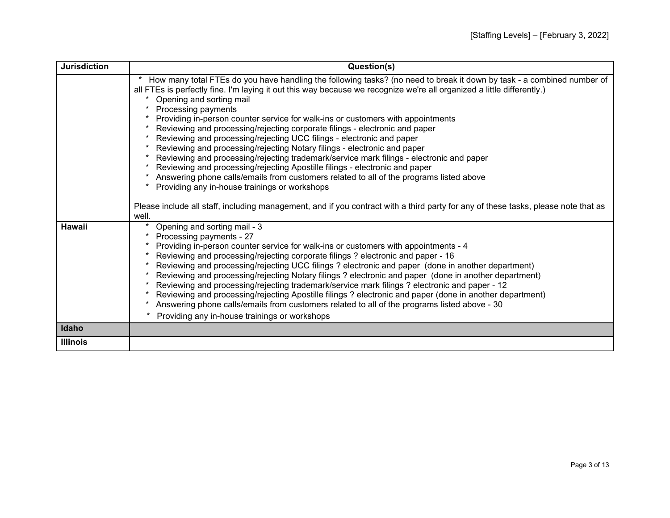| <b>Jurisdiction</b> | Question(s)                                                                                                                                                                                                                                                                                                                                                                                                                                                                                                                                                                                                                                                                                                                                                                                                                                                                                                                                                                                                                                                                                      |
|---------------------|--------------------------------------------------------------------------------------------------------------------------------------------------------------------------------------------------------------------------------------------------------------------------------------------------------------------------------------------------------------------------------------------------------------------------------------------------------------------------------------------------------------------------------------------------------------------------------------------------------------------------------------------------------------------------------------------------------------------------------------------------------------------------------------------------------------------------------------------------------------------------------------------------------------------------------------------------------------------------------------------------------------------------------------------------------------------------------------------------|
|                     | How many total FTEs do you have handling the following tasks? (no need to break it down by task - a combined number of<br>all FTEs is perfectly fine. I'm laying it out this way because we recognize we're all organized a little differently.)<br>Opening and sorting mail<br>Processing payments<br>Providing in-person counter service for walk-ins or customers with appointments<br>Reviewing and processing/rejecting corporate filings - electronic and paper<br>Reviewing and processing/rejecting UCC filings - electronic and paper<br>Reviewing and processing/rejecting Notary filings - electronic and paper<br>Reviewing and processing/rejecting trademark/service mark filings - electronic and paper<br>Reviewing and processing/rejecting Apostille filings - electronic and paper<br>Answering phone calls/emails from customers related to all of the programs listed above<br>Providing any in-house trainings or workshops<br>Please include all staff, including management, and if you contract with a third party for any of these tasks, please note that as<br>well. |
| <b>Hawaii</b>       | Opening and sorting mail - 3<br>Processing payments - 27<br>Providing in-person counter service for walk-ins or customers with appointments - 4<br>Reviewing and processing/rejecting corporate filings? electronic and paper - 16<br>Reviewing and processing/rejecting UCC filings? electronic and paper (done in another department)<br>Reviewing and processing/rejecting Notary filings ? electronic and paper (done in another department)<br>Reviewing and processing/rejecting trademark/service mark filings ? electronic and paper - 12<br>Reviewing and processing/rejecting Apostille filings ? electronic and paper (done in another department)<br>Answering phone calls/emails from customers related to all of the programs listed above - 30<br>Providing any in-house trainings or workshops                                                                                                                                                                                                                                                                                   |
| Idaho               |                                                                                                                                                                                                                                                                                                                                                                                                                                                                                                                                                                                                                                                                                                                                                                                                                                                                                                                                                                                                                                                                                                  |
| <b>Illinois</b>     |                                                                                                                                                                                                                                                                                                                                                                                                                                                                                                                                                                                                                                                                                                                                                                                                                                                                                                                                                                                                                                                                                                  |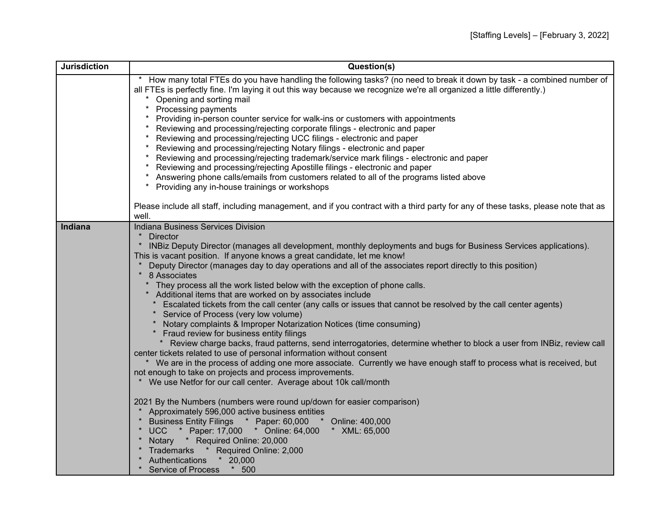| <b>Jurisdiction</b> | Question(s)                                                                                                                                                                                                                                                                                                                                                                                                                                                                                                                                                                                                                                                                                                                                                                                                                                                                                                                                                                                                                                                                                                                                                                                                                                                               |
|---------------------|---------------------------------------------------------------------------------------------------------------------------------------------------------------------------------------------------------------------------------------------------------------------------------------------------------------------------------------------------------------------------------------------------------------------------------------------------------------------------------------------------------------------------------------------------------------------------------------------------------------------------------------------------------------------------------------------------------------------------------------------------------------------------------------------------------------------------------------------------------------------------------------------------------------------------------------------------------------------------------------------------------------------------------------------------------------------------------------------------------------------------------------------------------------------------------------------------------------------------------------------------------------------------|
|                     | How many total FTEs do you have handling the following tasks? (no need to break it down by task - a combined number of<br>all FTEs is perfectly fine. I'm laying it out this way because we recognize we're all organized a little differently.)<br>Opening and sorting mail<br>Processing payments<br>Providing in-person counter service for walk-ins or customers with appointments<br>Reviewing and processing/rejecting corporate filings - electronic and paper<br>Reviewing and processing/rejecting UCC filings - electronic and paper<br>Reviewing and processing/rejecting Notary filings - electronic and paper<br>Reviewing and processing/rejecting trademark/service mark filings - electronic and paper<br>Reviewing and processing/rejecting Apostille filings - electronic and paper<br>Answering phone calls/emails from customers related to all of the programs listed above<br>Providing any in-house trainings or workshops                                                                                                                                                                                                                                                                                                                         |
|                     | Please include all staff, including management, and if you contract with a third party for any of these tasks, please note that as<br>well.                                                                                                                                                                                                                                                                                                                                                                                                                                                                                                                                                                                                                                                                                                                                                                                                                                                                                                                                                                                                                                                                                                                               |
| Indiana             | Indiana Business Services Division<br><b>Director</b><br>INBiz Deputy Director (manages all development, monthly deployments and bugs for Business Services applications).<br>This is vacant position. If anyone knows a great candidate, let me know!<br>Deputy Director (manages day to day operations and all of the associates report directly to this position)<br>* 8 Associates<br>They process all the work listed below with the exception of phone calls.<br>* Additional items that are worked on by associates include<br>Escalated tickets from the call center (any calls or issues that cannot be resolved by the call center agents)<br>Service of Process (very low volume)<br>Notary complaints & Improper Notarization Notices (time consuming)<br>Fraud review for business entity filings<br>* Review charge backs, fraud patterns, send interrogatories, determine whether to block a user from INBiz, review call<br>center tickets related to use of personal information without consent<br>* We are in the process of adding one more associate. Currently we have enough staff to process what is received, but<br>not enough to take on projects and process improvements.<br>We use Netfor for our call center. Average about 10k call/month |
|                     | 2021 By the Numbers (numbers were round up/down for easier comparison)<br>Approximately 596,000 active business entities<br>Business Entity Filings * Paper: 60,000<br>* Online: 400,000<br><b>UCC</b><br>* Paper: 17,000 * Online: 64,000<br>* XML: 65,000<br>$\ast$<br>Notary * Required Online: 20,000<br>* Trademarks * Required Online: 2,000<br>$*$ 20,000<br>Authentications<br>$*$ 500<br>* Service of Process                                                                                                                                                                                                                                                                                                                                                                                                                                                                                                                                                                                                                                                                                                                                                                                                                                                    |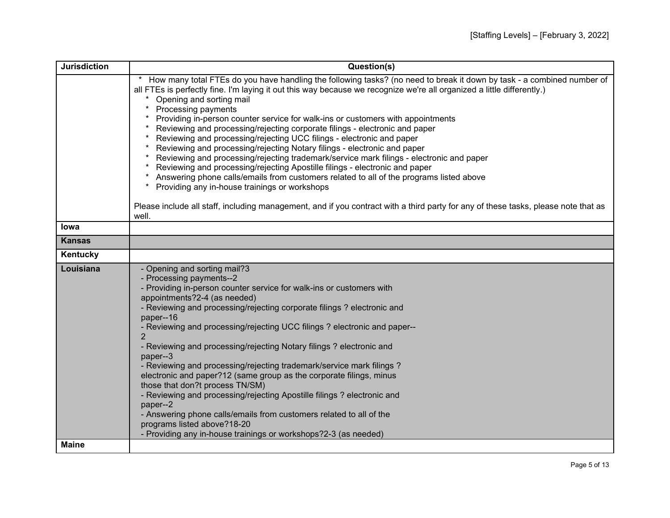| <b>Jurisdiction</b> | Question(s)                                                                                                                                                                                                                                      |
|---------------------|--------------------------------------------------------------------------------------------------------------------------------------------------------------------------------------------------------------------------------------------------|
|                     | How many total FTEs do you have handling the following tasks? (no need to break it down by task - a combined number of<br>all FTEs is perfectly fine. I'm laying it out this way because we recognize we're all organized a little differently.) |
|                     | Opening and sorting mail                                                                                                                                                                                                                         |
|                     | Processing payments                                                                                                                                                                                                                              |
|                     | Providing in-person counter service for walk-ins or customers with appointments                                                                                                                                                                  |
|                     | Reviewing and processing/rejecting corporate filings - electronic and paper                                                                                                                                                                      |
|                     | Reviewing and processing/rejecting UCC filings - electronic and paper                                                                                                                                                                            |
|                     | Reviewing and processing/rejecting Notary filings - electronic and paper<br>Reviewing and processing/rejecting trademark/service mark filings - electronic and paper                                                                             |
|                     | Reviewing and processing/rejecting Apostille filings - electronic and paper                                                                                                                                                                      |
|                     | Answering phone calls/emails from customers related to all of the programs listed above                                                                                                                                                          |
|                     | Providing any in-house trainings or workshops<br>$\ast$                                                                                                                                                                                          |
|                     | Please include all staff, including management, and if you contract with a third party for any of these tasks, please note that as                                                                                                               |
|                     | well.                                                                                                                                                                                                                                            |
| lowa                |                                                                                                                                                                                                                                                  |
| <b>Kansas</b>       |                                                                                                                                                                                                                                                  |
| Kentucky            |                                                                                                                                                                                                                                                  |
| Louisiana           | - Opening and sorting mail?3                                                                                                                                                                                                                     |
|                     | - Processing payments--2                                                                                                                                                                                                                         |
|                     | - Providing in-person counter service for walk-ins or customers with<br>appointments?2-4 (as needed)                                                                                                                                             |
|                     | - Reviewing and processing/rejecting corporate filings ? electronic and                                                                                                                                                                          |
|                     | paper--16                                                                                                                                                                                                                                        |
|                     | - Reviewing and processing/rejecting UCC filings ? electronic and paper--<br>$\overline{2}$                                                                                                                                                      |
|                     | - Reviewing and processing/rejecting Notary filings ? electronic and                                                                                                                                                                             |
|                     | paper--3                                                                                                                                                                                                                                         |
|                     | - Reviewing and processing/rejecting trademark/service mark filings ?                                                                                                                                                                            |
|                     | electronic and paper?12 (same group as the corporate filings, minus                                                                                                                                                                              |
|                     | those that don?t process TN/SM)<br>- Reviewing and processing/rejecting Apostille filings ? electronic and                                                                                                                                       |
|                     | paper--2                                                                                                                                                                                                                                         |
|                     | - Answering phone calls/emails from customers related to all of the                                                                                                                                                                              |
|                     | programs listed above?18-20                                                                                                                                                                                                                      |
|                     | - Providing any in-house trainings or workshops?2-3 (as needed)                                                                                                                                                                                  |
| <b>Maine</b>        |                                                                                                                                                                                                                                                  |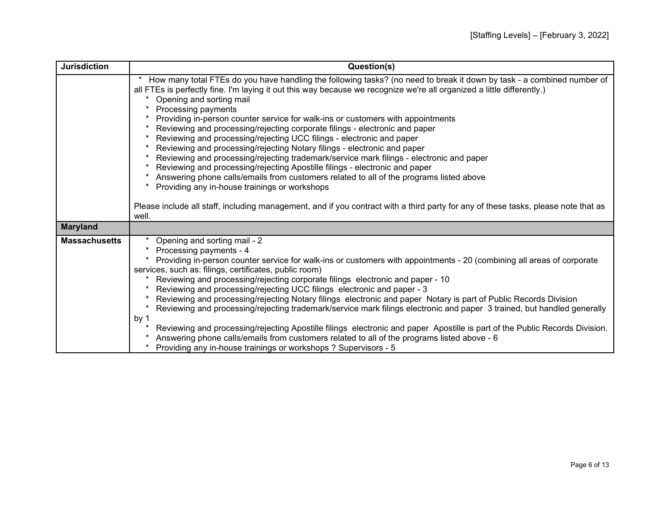| <b>Jurisdiction</b>  | Question(s)                                                                                                                                                                                                                                                                                                                                                                                                                                                                                                                                                                                                                                                                                                                                                                                                                                                                                                                                                                                                                                                                             |
|----------------------|-----------------------------------------------------------------------------------------------------------------------------------------------------------------------------------------------------------------------------------------------------------------------------------------------------------------------------------------------------------------------------------------------------------------------------------------------------------------------------------------------------------------------------------------------------------------------------------------------------------------------------------------------------------------------------------------------------------------------------------------------------------------------------------------------------------------------------------------------------------------------------------------------------------------------------------------------------------------------------------------------------------------------------------------------------------------------------------------|
|                      | How many total FTEs do you have handling the following tasks? (no need to break it down by task - a combined number of<br>all FTEs is perfectly fine. I'm laying it out this way because we recognize we're all organized a little differently.)<br>Opening and sorting mail<br>Processing payments<br>Providing in-person counter service for walk-ins or customers with appointments<br>Reviewing and processing/rejecting corporate filings - electronic and paper<br>Reviewing and processing/rejecting UCC filings - electronic and paper<br>Reviewing and processing/rejecting Notary filings - electronic and paper<br>Reviewing and processing/rejecting trademark/service mark filings - electronic and paper<br>Reviewing and processing/rejecting Apostille filings - electronic and paper<br>Answering phone calls/emails from customers related to all of the programs listed above<br>Providing any in-house trainings or workshops<br>Please include all staff, including management, and if you contract with a third party for any of these tasks, please note that as |
|                      | well.                                                                                                                                                                                                                                                                                                                                                                                                                                                                                                                                                                                                                                                                                                                                                                                                                                                                                                                                                                                                                                                                                   |
| <b>Maryland</b>      |                                                                                                                                                                                                                                                                                                                                                                                                                                                                                                                                                                                                                                                                                                                                                                                                                                                                                                                                                                                                                                                                                         |
| <b>Massachusetts</b> | Opening and sorting mail - 2<br>Processing payments - 4<br>Providing in-person counter service for walk-ins or customers with appointments - 20 (combining all areas of corporate<br>services, such as: filings, certificates, public room)<br>Reviewing and processing/rejecting corporate filings electronic and paper - 10<br>Reviewing and processing/rejecting UCC filings electronic and paper - 3<br>Reviewing and processing/rejecting Notary filings electronic and paper Notary is part of Public Records Division<br>Reviewing and processing/rejecting trademark/service mark filings electronic and paper 3 trained, but handled generally<br>by 1<br>Reviewing and processing/rejecting Apostille filings electronic and paper Apostille is part of the Public Records Division.<br>Answering phone calls/emails from customers related to all of the programs listed above - 6<br>Providing any in-house trainings or workshops ? Supervisors - 5                                                                                                                        |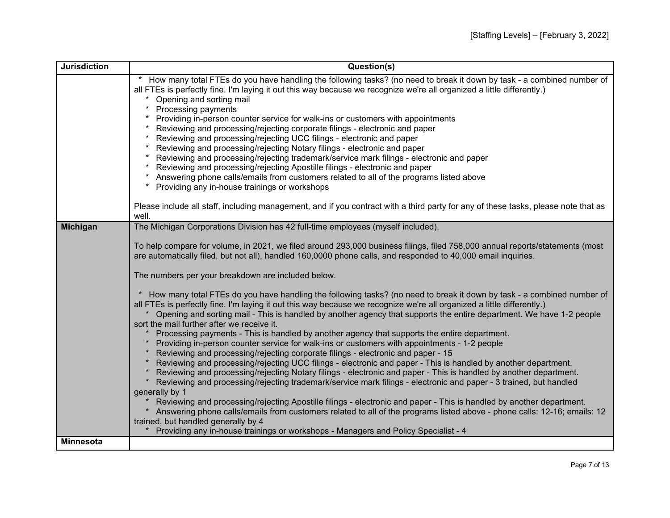| <b>Jurisdiction</b> | Question(s)                                                                                                                                                                                                                                      |
|---------------------|--------------------------------------------------------------------------------------------------------------------------------------------------------------------------------------------------------------------------------------------------|
|                     | How many total FTEs do you have handling the following tasks? (no need to break it down by task - a combined number of<br>all FTEs is perfectly fine. I'm laying it out this way because we recognize we're all organized a little differently.) |
|                     | Opening and sorting mail                                                                                                                                                                                                                         |
|                     | Processing payments                                                                                                                                                                                                                              |
|                     | Providing in-person counter service for walk-ins or customers with appointments                                                                                                                                                                  |
|                     | Reviewing and processing/rejecting corporate filings - electronic and paper                                                                                                                                                                      |
|                     | Reviewing and processing/rejecting UCC filings - electronic and paper                                                                                                                                                                            |
|                     | Reviewing and processing/rejecting Notary filings - electronic and paper<br>Reviewing and processing/rejecting trademark/service mark filings - electronic and paper                                                                             |
|                     | Reviewing and processing/rejecting Apostille filings - electronic and paper                                                                                                                                                                      |
|                     | Answering phone calls/emails from customers related to all of the programs listed above                                                                                                                                                          |
|                     | Providing any in-house trainings or workshops<br>$^\star$                                                                                                                                                                                        |
|                     | Please include all staff, including management, and if you contract with a third party for any of these tasks, please note that as                                                                                                               |
|                     | well.                                                                                                                                                                                                                                            |
| <b>Michigan</b>     | The Michigan Corporations Division has 42 full-time employees (myself included).                                                                                                                                                                 |
|                     |                                                                                                                                                                                                                                                  |
|                     | To help compare for volume, in 2021, we filed around 293,000 business filings, filed 758,000 annual reports/statements (most<br>are automatically filed, but not all), handled 160,0000 phone calls, and responded to 40,000 email inquiries.    |
|                     |                                                                                                                                                                                                                                                  |
|                     | The numbers per your breakdown are included below.                                                                                                                                                                                               |
|                     | How many total FTEs do you have handling the following tasks? (no need to break it down by task - a combined number of<br>$\ast$                                                                                                                 |
|                     | all FTEs is perfectly fine. I'm laying it out this way because we recognize we're all organized a little differently.)                                                                                                                           |
|                     | Opening and sorting mail - This is handled by another agency that supports the entire department. We have 1-2 people                                                                                                                             |
|                     | sort the mail further after we receive it.                                                                                                                                                                                                       |
|                     | Processing payments - This is handled by another agency that supports the entire department.<br>Providing in-person counter service for walk-ins or customers with appointments - 1-2 people                                                     |
|                     | Reviewing and processing/rejecting corporate filings - electronic and paper - 15                                                                                                                                                                 |
|                     | Reviewing and processing/rejecting UCC filings - electronic and paper - This is handled by another department.                                                                                                                                   |
|                     | Reviewing and processing/rejecting Notary filings - electronic and paper - This is handled by another department.                                                                                                                                |
|                     | Reviewing and processing/rejecting trademark/service mark filings - electronic and paper - 3 trained, but handled                                                                                                                                |
|                     | generally by 1<br>Reviewing and processing/rejecting Apostille filings - electronic and paper - This is handled by another department.                                                                                                           |
|                     | Answering phone calls/emails from customers related to all of the programs listed above - phone calls: 12-16; emails: 12                                                                                                                         |
|                     | trained, but handled generally by 4                                                                                                                                                                                                              |
|                     | Providing any in-house trainings or workshops - Managers and Policy Specialist - 4                                                                                                                                                               |
| <b>Minnesota</b>    |                                                                                                                                                                                                                                                  |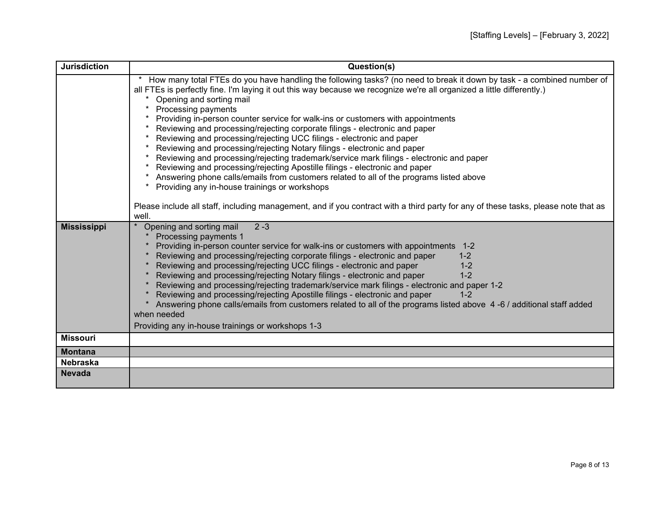| <b>Jurisdiction</b>               | Question(s)                                                                                                                                                                                                                                                                                                                                                                                                                                                                                                                                                                                                                                                                                                                                                                                                                                                                                                                                                                                                                                                                                      |
|-----------------------------------|--------------------------------------------------------------------------------------------------------------------------------------------------------------------------------------------------------------------------------------------------------------------------------------------------------------------------------------------------------------------------------------------------------------------------------------------------------------------------------------------------------------------------------------------------------------------------------------------------------------------------------------------------------------------------------------------------------------------------------------------------------------------------------------------------------------------------------------------------------------------------------------------------------------------------------------------------------------------------------------------------------------------------------------------------------------------------------------------------|
|                                   | How many total FTEs do you have handling the following tasks? (no need to break it down by task - a combined number of<br>all FTEs is perfectly fine. I'm laying it out this way because we recognize we're all organized a little differently.)<br>Opening and sorting mail<br>Processing payments<br>Providing in-person counter service for walk-ins or customers with appointments<br>Reviewing and processing/rejecting corporate filings - electronic and paper<br>Reviewing and processing/rejecting UCC filings - electronic and paper<br>Reviewing and processing/rejecting Notary filings - electronic and paper<br>Reviewing and processing/rejecting trademark/service mark filings - electronic and paper<br>Reviewing and processing/rejecting Apostille filings - electronic and paper<br>Answering phone calls/emails from customers related to all of the programs listed above<br>Providing any in-house trainings or workshops<br>Please include all staff, including management, and if you contract with a third party for any of these tasks, please note that as<br>well. |
| <b>Mississippi</b>                | $2 - 3$<br>Opening and sorting mail<br>Processing payments 1<br>Providing in-person counter service for walk-ins or customers with appointments 1-2<br>Reviewing and processing/rejecting corporate filings - electronic and paper<br>$1 - 2$<br>Reviewing and processing/rejecting UCC filings - electronic and paper<br>$1 - 2$<br>Reviewing and processing/rejecting Notary filings - electronic and paper<br>$1 - 2$<br>Reviewing and processing/rejecting trademark/service mark filings - electronic and paper 1-2<br>Reviewing and processing/rejecting Apostille filings - electronic and paper<br>$1 - 2$<br>Answering phone calls/emails from customers related to all of the programs listed above 4-6 / additional staff added<br>when needed<br>Providing any in-house trainings or workshops 1-3                                                                                                                                                                                                                                                                                   |
| <b>Missouri</b>                   |                                                                                                                                                                                                                                                                                                                                                                                                                                                                                                                                                                                                                                                                                                                                                                                                                                                                                                                                                                                                                                                                                                  |
|                                   |                                                                                                                                                                                                                                                                                                                                                                                                                                                                                                                                                                                                                                                                                                                                                                                                                                                                                                                                                                                                                                                                                                  |
| <b>Montana</b><br><b>Nebraska</b> |                                                                                                                                                                                                                                                                                                                                                                                                                                                                                                                                                                                                                                                                                                                                                                                                                                                                                                                                                                                                                                                                                                  |
|                                   |                                                                                                                                                                                                                                                                                                                                                                                                                                                                                                                                                                                                                                                                                                                                                                                                                                                                                                                                                                                                                                                                                                  |
| <b>Nevada</b>                     |                                                                                                                                                                                                                                                                                                                                                                                                                                                                                                                                                                                                                                                                                                                                                                                                                                                                                                                                                                                                                                                                                                  |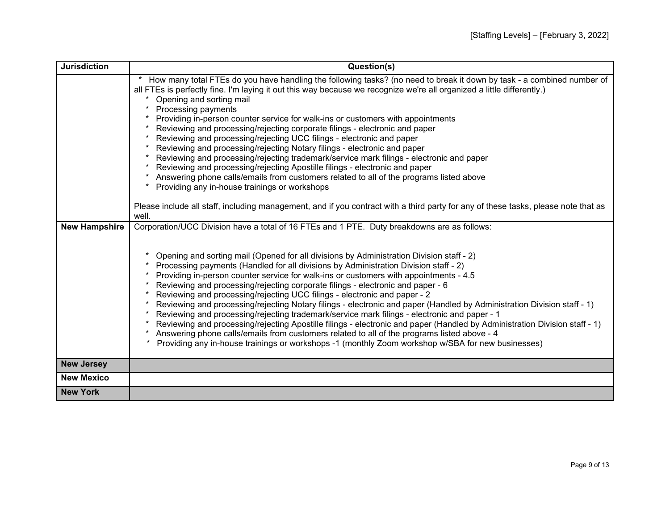| <b>Jurisdiction</b>  | Question(s)                                                                                                                                                                                                                                                                                                                                                                                                                                                                                                                                                                                                                                                                                                                                                                                                                                                                                                                                                                                                                                                                                           |
|----------------------|-------------------------------------------------------------------------------------------------------------------------------------------------------------------------------------------------------------------------------------------------------------------------------------------------------------------------------------------------------------------------------------------------------------------------------------------------------------------------------------------------------------------------------------------------------------------------------------------------------------------------------------------------------------------------------------------------------------------------------------------------------------------------------------------------------------------------------------------------------------------------------------------------------------------------------------------------------------------------------------------------------------------------------------------------------------------------------------------------------|
|                      | How many total FTEs do you have handling the following tasks? (no need to break it down by task - a combined number of<br>all FTEs is perfectly fine. I'm laying it out this way because we recognize we're all organized a little differently.)<br>Opening and sorting mail<br>Processing payments<br>Providing in-person counter service for walk-ins or customers with appointments<br>Reviewing and processing/rejecting corporate filings - electronic and paper<br>Reviewing and processing/rejecting UCC filings - electronic and paper<br>Reviewing and processing/rejecting Notary filings - electronic and paper<br>Reviewing and processing/rejecting trademark/service mark filings - electronic and paper<br>Reviewing and processing/rejecting Apostille filings - electronic and paper<br>Answering phone calls/emails from customers related to all of the programs listed above<br>Providing any in-house trainings or workshops<br>Please include all staff, including management, and if you contract with a third party for any of these tasks, please note that as<br>well.      |
| <b>New Hampshire</b> | Corporation/UCC Division have a total of 16 FTEs and 1 PTE. Duty breakdowns are as follows:<br>Opening and sorting mail (Opened for all divisions by Administration Division staff - 2)<br>Processing payments (Handled for all divisions by Administration Division staff - 2)<br>Providing in-person counter service for walk-ins or customers with appointments - 4.5<br>Reviewing and processing/rejecting corporate filings - electronic and paper - 6<br>Reviewing and processing/rejecting UCC filings - electronic and paper - 2<br>Reviewing and processing/rejecting Notary filings - electronic and paper (Handled by Administration Division staff - 1)<br>Reviewing and processing/rejecting trademark/service mark filings - electronic and paper - 1<br>Reviewing and processing/rejecting Apostille filings - electronic and paper (Handled by Administration Division staff - 1)<br>Answering phone calls/emails from customers related to all of the programs listed above - 4<br>Providing any in-house trainings or workshops -1 (monthly Zoom workshop w/SBA for new businesses) |
| <b>New Jersey</b>    |                                                                                                                                                                                                                                                                                                                                                                                                                                                                                                                                                                                                                                                                                                                                                                                                                                                                                                                                                                                                                                                                                                       |
| <b>New Mexico</b>    |                                                                                                                                                                                                                                                                                                                                                                                                                                                                                                                                                                                                                                                                                                                                                                                                                                                                                                                                                                                                                                                                                                       |
| <b>New York</b>      |                                                                                                                                                                                                                                                                                                                                                                                                                                                                                                                                                                                                                                                                                                                                                                                                                                                                                                                                                                                                                                                                                                       |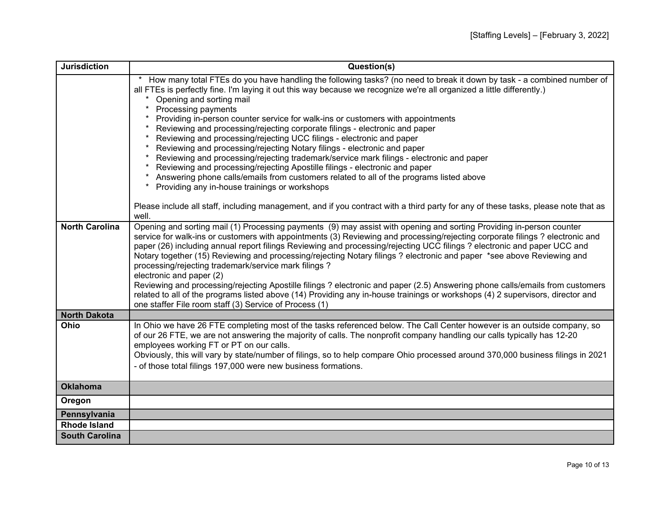| <b>Jurisdiction</b>   | Question(s)                                                                                                                                                                                                                                                                                                                                                                                                                                                                                                                                                                                                                                                                                                                                                                                                                                                                                                                                                                                                                                                                                      |
|-----------------------|--------------------------------------------------------------------------------------------------------------------------------------------------------------------------------------------------------------------------------------------------------------------------------------------------------------------------------------------------------------------------------------------------------------------------------------------------------------------------------------------------------------------------------------------------------------------------------------------------------------------------------------------------------------------------------------------------------------------------------------------------------------------------------------------------------------------------------------------------------------------------------------------------------------------------------------------------------------------------------------------------------------------------------------------------------------------------------------------------|
|                       | How many total FTEs do you have handling the following tasks? (no need to break it down by task - a combined number of<br>all FTEs is perfectly fine. I'm laying it out this way because we recognize we're all organized a little differently.)<br>Opening and sorting mail<br>Processing payments<br>Providing in-person counter service for walk-ins or customers with appointments<br>Reviewing and processing/rejecting corporate filings - electronic and paper<br>Reviewing and processing/rejecting UCC filings - electronic and paper<br>Reviewing and processing/rejecting Notary filings - electronic and paper<br>Reviewing and processing/rejecting trademark/service mark filings - electronic and paper<br>Reviewing and processing/rejecting Apostille filings - electronic and paper<br>Answering phone calls/emails from customers related to all of the programs listed above<br>Providing any in-house trainings or workshops<br>Please include all staff, including management, and if you contract with a third party for any of these tasks, please note that as<br>well. |
| <b>North Carolina</b> | Opening and sorting mail (1) Processing payments (9) may assist with opening and sorting Providing in-person counter<br>service for walk-ins or customers with appointments (3) Reviewing and processing/rejecting corporate filings ? electronic and<br>paper (26) including annual report filings Reviewing and processing/rejecting UCC filings ? electronic and paper UCC and<br>Notary together (15) Reviewing and processing/rejecting Notary filings? electronic and paper *see above Reviewing and<br>processing/rejecting trademark/service mark filings?<br>electronic and paper (2)<br>Reviewing and processing/rejecting Apostille filings? electronic and paper (2.5) Answering phone calls/emails from customers<br>related to all of the programs listed above (14) Providing any in-house trainings or workshops (4) 2 supervisors, director and<br>one staffer File room staff (3) Service of Process (1)                                                                                                                                                                       |
| <b>North Dakota</b>   |                                                                                                                                                                                                                                                                                                                                                                                                                                                                                                                                                                                                                                                                                                                                                                                                                                                                                                                                                                                                                                                                                                  |
| Ohio                  | In Ohio we have 26 FTE completing most of the tasks referenced below. The Call Center however is an outside company, so<br>of our 26 FTE, we are not answering the majority of calls. The nonprofit company handling our calls typically has 12-20<br>employees working FT or PT on our calls.<br>Obviously, this will vary by state/number of filings, so to help compare Ohio processed around 370,000 business filings in 2021<br>- of those total filings 197,000 were new business formations.                                                                                                                                                                                                                                                                                                                                                                                                                                                                                                                                                                                              |
| <b>Oklahoma</b>       |                                                                                                                                                                                                                                                                                                                                                                                                                                                                                                                                                                                                                                                                                                                                                                                                                                                                                                                                                                                                                                                                                                  |
| Oregon                |                                                                                                                                                                                                                                                                                                                                                                                                                                                                                                                                                                                                                                                                                                                                                                                                                                                                                                                                                                                                                                                                                                  |
| Pennsylvania          |                                                                                                                                                                                                                                                                                                                                                                                                                                                                                                                                                                                                                                                                                                                                                                                                                                                                                                                                                                                                                                                                                                  |
| <b>Rhode Island</b>   |                                                                                                                                                                                                                                                                                                                                                                                                                                                                                                                                                                                                                                                                                                                                                                                                                                                                                                                                                                                                                                                                                                  |
| <b>South Carolina</b> |                                                                                                                                                                                                                                                                                                                                                                                                                                                                                                                                                                                                                                                                                                                                                                                                                                                                                                                                                                                                                                                                                                  |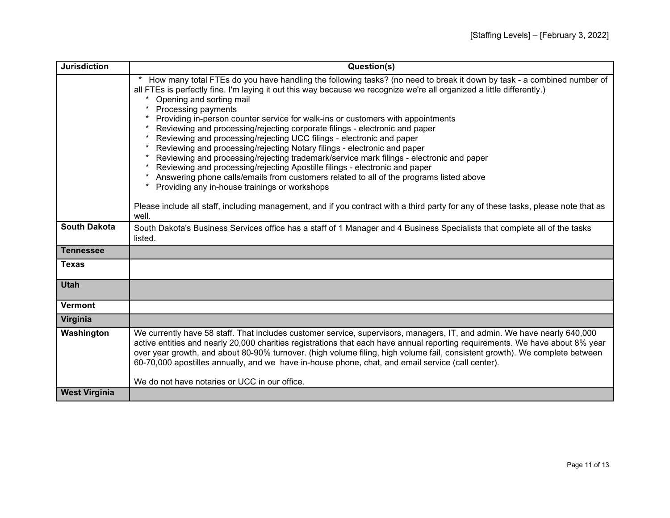| <b>Jurisdiction</b>  | Question(s)                                                                                                                                                                                                                                                                                                                                                                                                                                                                                                                                                                                                                                                                                                                                                                                                                                                                                                                                                                                                                                                                             |
|----------------------|-----------------------------------------------------------------------------------------------------------------------------------------------------------------------------------------------------------------------------------------------------------------------------------------------------------------------------------------------------------------------------------------------------------------------------------------------------------------------------------------------------------------------------------------------------------------------------------------------------------------------------------------------------------------------------------------------------------------------------------------------------------------------------------------------------------------------------------------------------------------------------------------------------------------------------------------------------------------------------------------------------------------------------------------------------------------------------------------|
|                      | How many total FTEs do you have handling the following tasks? (no need to break it down by task - a combined number of<br>all FTEs is perfectly fine. I'm laying it out this way because we recognize we're all organized a little differently.)<br>Opening and sorting mail<br>Processing payments<br>Providing in-person counter service for walk-ins or customers with appointments<br>Reviewing and processing/rejecting corporate filings - electronic and paper<br>Reviewing and processing/rejecting UCC filings - electronic and paper<br>Reviewing and processing/rejecting Notary filings - electronic and paper<br>Reviewing and processing/rejecting trademark/service mark filings - electronic and paper<br>Reviewing and processing/rejecting Apostille filings - electronic and paper<br>Answering phone calls/emails from customers related to all of the programs listed above<br>Providing any in-house trainings or workshops<br>Please include all staff, including management, and if you contract with a third party for any of these tasks, please note that as |
| <b>South Dakota</b>  | well.<br>South Dakota's Business Services office has a staff of 1 Manager and 4 Business Specialists that complete all of the tasks                                                                                                                                                                                                                                                                                                                                                                                                                                                                                                                                                                                                                                                                                                                                                                                                                                                                                                                                                     |
|                      | listed.                                                                                                                                                                                                                                                                                                                                                                                                                                                                                                                                                                                                                                                                                                                                                                                                                                                                                                                                                                                                                                                                                 |
| <b>Tennessee</b>     |                                                                                                                                                                                                                                                                                                                                                                                                                                                                                                                                                                                                                                                                                                                                                                                                                                                                                                                                                                                                                                                                                         |
| <b>Texas</b>         |                                                                                                                                                                                                                                                                                                                                                                                                                                                                                                                                                                                                                                                                                                                                                                                                                                                                                                                                                                                                                                                                                         |
| <b>Utah</b>          |                                                                                                                                                                                                                                                                                                                                                                                                                                                                                                                                                                                                                                                                                                                                                                                                                                                                                                                                                                                                                                                                                         |
| <b>Vermont</b>       |                                                                                                                                                                                                                                                                                                                                                                                                                                                                                                                                                                                                                                                                                                                                                                                                                                                                                                                                                                                                                                                                                         |
| Virginia             |                                                                                                                                                                                                                                                                                                                                                                                                                                                                                                                                                                                                                                                                                                                                                                                                                                                                                                                                                                                                                                                                                         |
| Washington           | We currently have 58 staff. That includes customer service, supervisors, managers, IT, and admin. We have nearly 640,000<br>active entities and nearly 20,000 charities registrations that each have annual reporting requirements. We have about 8% year<br>over year growth, and about 80-90% turnover. (high volume filing, high volume fail, consistent growth). We complete between<br>60-70,000 apostilles annually, and we have in-house phone, chat, and email service (call center).<br>We do not have notaries or UCC in our office.                                                                                                                                                                                                                                                                                                                                                                                                                                                                                                                                          |
| <b>West Virginia</b> |                                                                                                                                                                                                                                                                                                                                                                                                                                                                                                                                                                                                                                                                                                                                                                                                                                                                                                                                                                                                                                                                                         |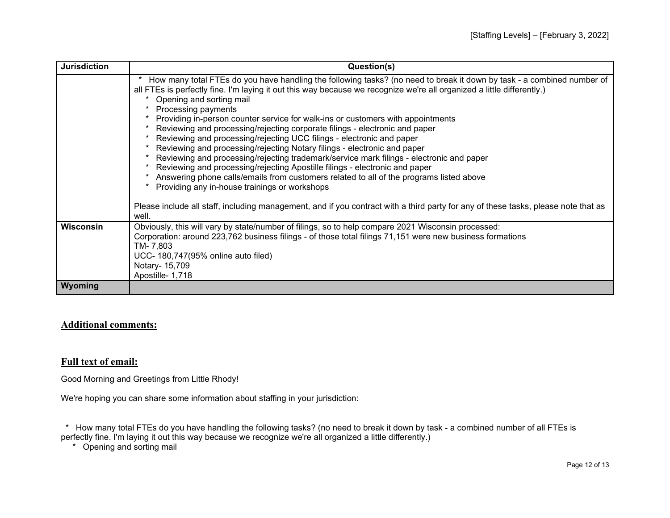| <b>Jurisdiction</b> | Question(s)                                                                                                                                                                                                                                                                                                                                                                                                                                                                                                                                                                                                                                                                                                                                                                                                                                                                                                                                                                                                                                                                                        |
|---------------------|----------------------------------------------------------------------------------------------------------------------------------------------------------------------------------------------------------------------------------------------------------------------------------------------------------------------------------------------------------------------------------------------------------------------------------------------------------------------------------------------------------------------------------------------------------------------------------------------------------------------------------------------------------------------------------------------------------------------------------------------------------------------------------------------------------------------------------------------------------------------------------------------------------------------------------------------------------------------------------------------------------------------------------------------------------------------------------------------------|
|                     | How many total FTEs do you have handling the following tasks? (no need to break it down by task - a combined number of<br>$\star$<br>all FTEs is perfectly fine. I'm laying it out this way because we recognize we're all organized a little differently.)<br>Opening and sorting mail<br>Processing payments<br>Providing in-person counter service for walk-ins or customers with appointments<br>Reviewing and processing/rejecting corporate filings - electronic and paper<br>Reviewing and processing/rejecting UCC filings - electronic and paper<br>Reviewing and processing/rejecting Notary filings - electronic and paper<br>Reviewing and processing/rejecting trademark/service mark filings - electronic and paper<br>Reviewing and processing/rejecting Apostille filings - electronic and paper<br>Answering phone calls/emails from customers related to all of the programs listed above<br>Providing any in-house trainings or workshops<br>Please include all staff, including management, and if you contract with a third party for any of these tasks, please note that as |
| <b>Wisconsin</b>    | well.<br>Obviously, this will vary by state/number of filings, so to help compare 2021 Wisconsin processed:                                                                                                                                                                                                                                                                                                                                                                                                                                                                                                                                                                                                                                                                                                                                                                                                                                                                                                                                                                                        |
|                     | Corporation: around 223,762 business filings - of those total filings 71,151 were new business formations<br>TM- 7.803<br>UCC- 180,747(95% online auto filed)<br>Notary- 15,709<br>Apostille- 1,718                                                                                                                                                                                                                                                                                                                                                                                                                                                                                                                                                                                                                                                                                                                                                                                                                                                                                                |
| Wyoming             |                                                                                                                                                                                                                                                                                                                                                                                                                                                                                                                                                                                                                                                                                                                                                                                                                                                                                                                                                                                                                                                                                                    |

## **Additional comments:**

## **Full text of email:**

Good Morning and Greetings from Little Rhody!

We're hoping you can share some information about staffing in your jurisdiction:

 \* How many total FTEs do you have handling the following tasks? (no need to break it down by task - a combined number of all FTEs is perfectly fine. I'm laying it out this way because we recognize we're all organized a little differently.)

\* Opening and sorting mail